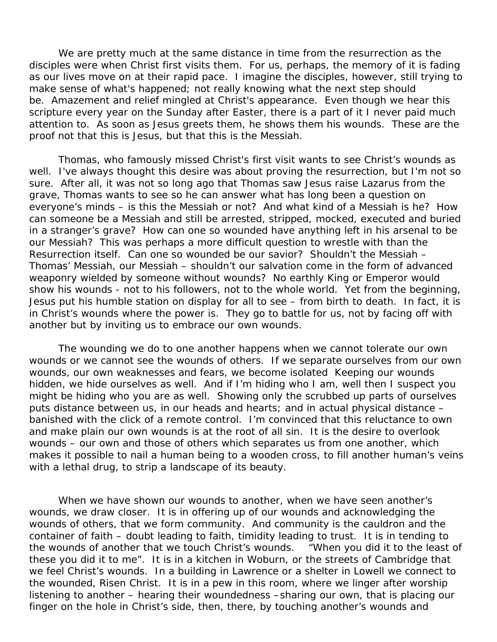We are pretty much at the same distance in time from the resurrection as the disciples were when Christ first visits them. For us, perhaps, the memory of it is fading as our lives move on at their rapid pace. I imagine the disciples, however, still trying to make sense of what's happened; not really knowing what the next step should be. Amazement and relief mingled at Christ's appearance. Even though we hear this scripture every year on the Sunday after Easter, there is a part of it I never paid much attention to. As soon as Jesus greets them, he shows them his wounds. These are the proof not that this is Jesus, but that this is the Messiah.

Thomas, who famously missed Christ's first visit wants to see Christ's wounds as well. I've always thought this desire was about proving the resurrection, but I'm not so sure. After all, it was not so long ago that Thomas saw Jesus raise Lazarus from the grave, Thomas wants to see so he can answer what has long been a question on everyone's minds – is this the Messiah or not? And what kind of a Messiah is he? How can someone be a Messiah and still be arrested, stripped, mocked, executed and buried in a stranger's grave? How can one so wounded have anything left in his arsenal to be our Messiah? This was perhaps a more difficult question to wrestle with than the Resurrection itself. Can one so wounded be our savior? Shouldn't the Messiah – Thomas' Messiah, our Messiah – shouldn't our salvation come in the form of advanced weaponry wielded by someone without wounds? No earthly King or Emperor would show his wounds - not to his followers, not to the whole world. Yet from the beginning, Jesus put his humble station on display for all to see – from birth to death. In fact, it is in Christ's wounds where the power is. They go to battle for us, not by facing off with another but by inviting us to embrace our own wounds.

The wounding we do to one another happens when we cannot tolerate our own wounds or we cannot see the wounds of others. If we separate ourselves from our own wounds, our own weaknesses and fears, we become isolated Keeping our wounds hidden, we hide ourselves as well. And if I'm hiding who I am, well then I suspect you might be hiding who you are as well. Showing only the scrubbed up parts of ourselves puts distance between us, in our heads and hearts; and in actual physical distance – banished with the click of a remote control. I'm convinced that this reluctance to own and make plain our own wounds is at the root of all sin. It is the desire to overlook wounds – our own and those of others which separates us from one another, which makes it possible to nail a human being to a wooden cross, to fill another human's veins with a lethal drug, to strip a landscape of its beauty.

When we have shown our wounds to another, when we have seen another's wounds, we draw closer. It is in offering up of our wounds and acknowledging the wounds of others, that we form community. And community is the cauldron and the container of faith – doubt leading to faith, timidity leading to trust. It is in tending to the wounds of another that we touch Christ's wounds. "When you did it to the least of these you did it to me". It is in a kitchen in Woburn, or the streets of Cambridge that we feel Christ's wounds. In a building in Lawrence or a shelter in Lowell we connect to the wounded, Risen Christ. It is in a pew in this room, where we linger after worship listening to another – hearing their woundedness –sharing our own, that is placing our finger on the hole in Christ's side, then, there, by touching another's wounds and